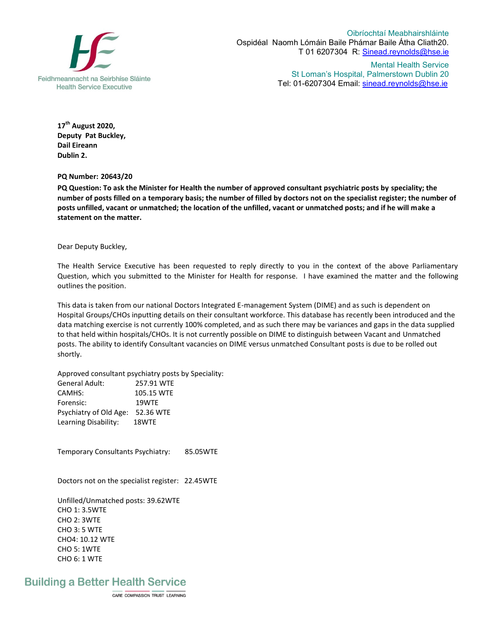

Oibríochtaí Meabhairshláinte Ospidéal Naomh Lómáin Baile Phámar Baile Átha Cliath20. T 01 6207304 R: Sinead.reynolds@hse.ie

> Mental Health Service St Loman's Hospital, Palmerstown Dublin 20 Tel: 01-6207304 Email: sinead.reynolds@hse.ie

**17th August 2020, Deputy Pat Buckley, Dail Eireann Dublin 2.**

**PQ Number: 20643/20** 

**PQ Question: To ask the Minister for Health the number of approved consultant psychiatric posts by speciality; the number of posts filled on a temporary basis; the number of filled by doctors not on the specialist register; the number of posts unfilled, vacant or unmatched; the location of the unfilled, vacant or unmatched posts; and if he will make a statement on the matter.** 

Dear Deputy Buckley,

The Health Service Executive has been requested to reply directly to you in the context of the above Parliamentary Question, which you submitted to the Minister for Health for response. I have examined the matter and the following outlines the position.

This data is taken from our national Doctors Integrated E-management System (DIME) and as such is dependent on Hospital Groups/CHOs inputting details on their consultant workforce. This database has recently been introduced and the data matching exercise is not currently 100% completed, and as such there may be variances and gaps in the data supplied to that held within hospitals/CHOs. It is not currently possible on DIME to distinguish between Vacant and Unmatched posts. The ability to identify Consultant vacancies on DIME versus unmatched Consultant posts is due to be rolled out shortly.

Approved consultant psychiatry posts by Speciality:

| General Adult:         | 257.91 WTF |
|------------------------|------------|
| CAMHS:                 | 105.15 WTE |
| Forensic:              | 19WTF      |
| Psychiatry of Old Age: | 52.36 WTE  |
| Learning Disability:   | 18WTE      |

Temporary Consultants Psychiatry: 85.05WTE

Doctors not on the specialist register: 22.45WTE

Unfilled/Unmatched posts: 39.62WTE CHO 1: 3.5WTE CHO 2: 3WTE CHO 3: 5 WTE CHO4: 10.12 WTE CHO 5: 1WTE CHO 6: 1 WTE

## **Building a Better Health Service**

CARE COMPASSION TRUST LEARNING